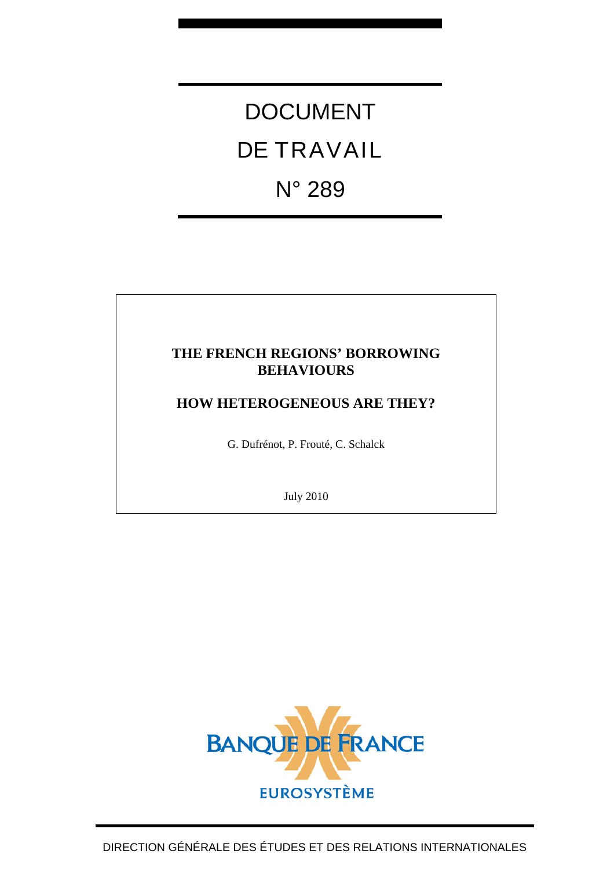DOCUMENT DE TRAVAIL N° 289

# **THE FRENCH REGIONS' BORROWING BEHAVIOURS**

# **HOW HETEROGENEOUS ARE THEY?**

G. Dufrénot, P. Frouté, C. Schalck

July 2010

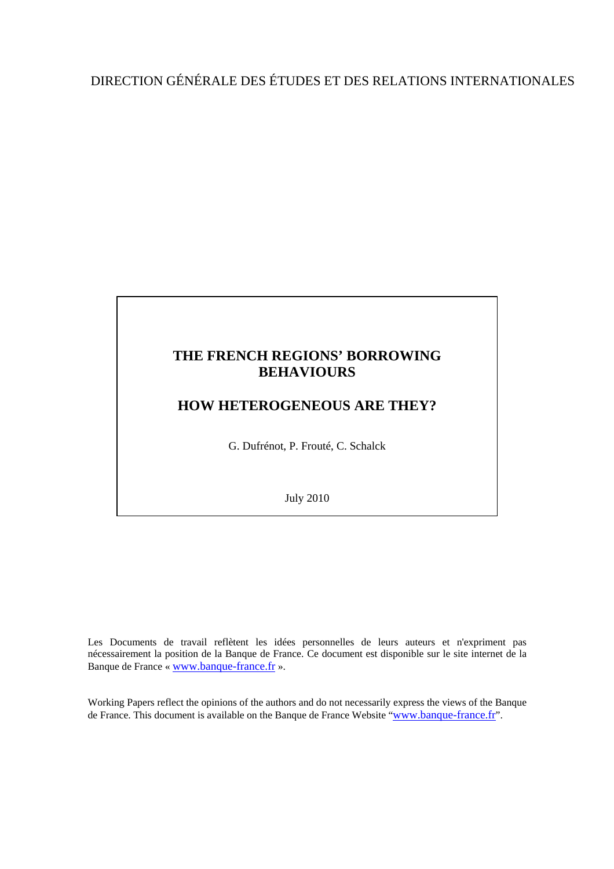# **THE FRENCH REGIONS' BORROWING BEHAVIOURS**

# **HOW HETEROGENEOUS ARE THEY?**

G. Dufrénot, P. Frouté, C. Schalck

July 2010

Les Documents de travail reflètent les idées personnelles de leurs auteurs et n'expriment pas nécessairement la position de la Banque de France. Ce document est disponible sur le site internet de la Banque de France « www.banque-france.fr ».

Working Papers reflect the opinions of the authors and do not necessarily express the views of the Banque de France. This document is available on the Banque de France Website "www.banque-france.fr".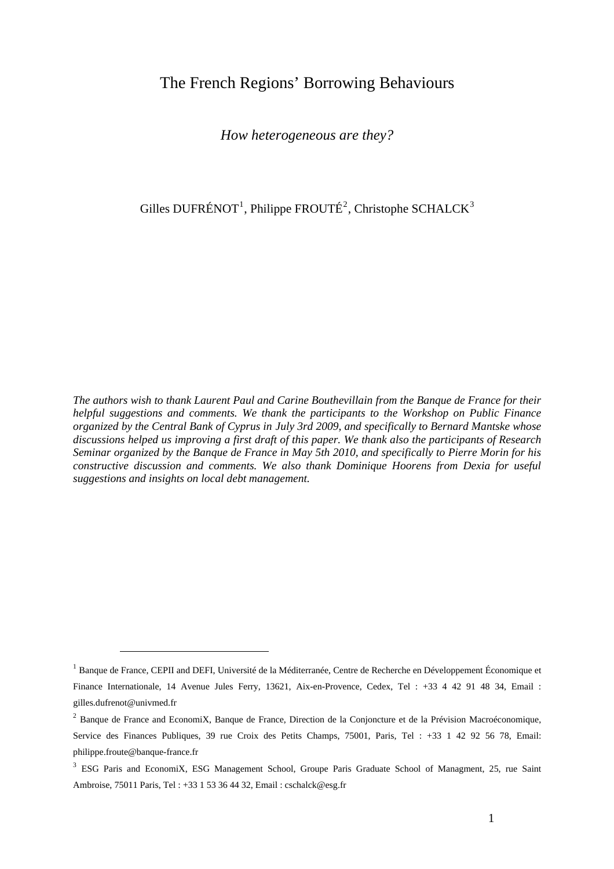# The French Regions' Borrowing Behaviours

*How heterogeneous are they?* 

Gilles DUFRÉNOT<sup>1</sup>, Philippe FROUTÉ<sup>2</sup>, Christophe SCHALCK<sup>3</sup>

*The authors wish to thank Laurent Paul and Carine Bouthevillain from the Banque de France for their helpful suggestions and comments. We thank the participants to the Workshop on Public Finance organized by the Central Bank of Cyprus in July 3rd 2009, and specifically to Bernard Mantske whose discussions helped us improving a first draft of this paper. We thank also the participants of Research Seminar organized by the Banque de France in May 5th 2010, and specifically to Pierre Morin for his constructive discussion and comments. We also thank Dominique Hoorens from Dexia for useful suggestions and insights on local debt management.* 

 $<sup>1</sup>$  Banque de France, CEPII and DEFI, Université de la Méditerranée, Centre de Recherche en Développement Économique et</sup> Finance Internationale, 14 Avenue Jules Ferry, 13621, Aix-en-Provence, Cedex, Tel : +33 4 42 91 48 34, Email : gilles.dufrenot@univmed.fr

 $2$  Banque de France and EconomiX, Banque de France, Direction de la Conjoncture et de la Prévision Macroéconomique, Service des Finances Publiques, 39 rue Croix des Petits Champs, 75001, Paris, Tel : +33 1 42 92 56 78, Email: philippe.froute@banque-france.fr

<sup>&</sup>lt;sup>3</sup> ESG Paris and EconomiX, ESG Management School, Groupe Paris Graduate School of Managment, 25, rue Saint Ambroise, 75011 Paris, Tel : +33 1 53 36 44 32, Email : cschalck@esg.fr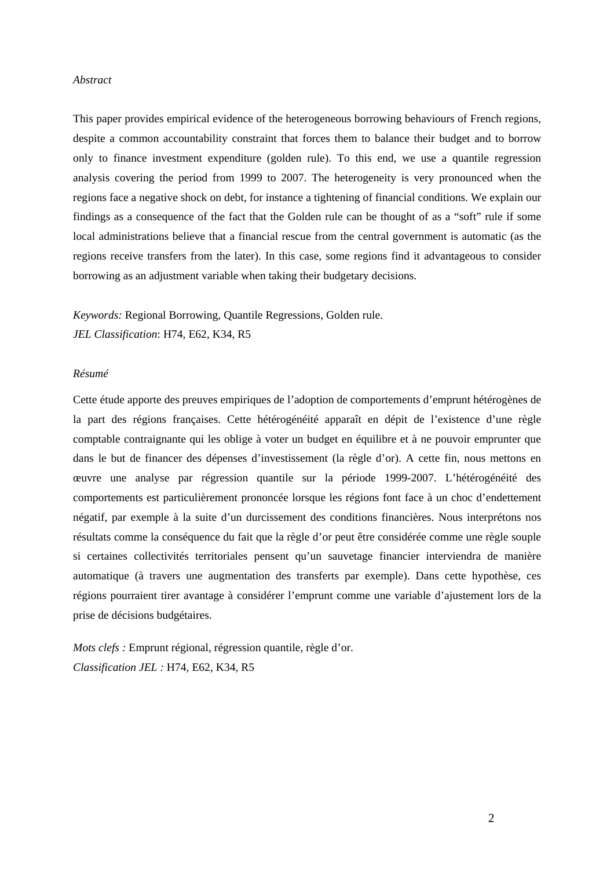### *Abstract*

This paper provides empirical evidence of the heterogeneous borrowing behaviours of French regions, despite a common accountability constraint that forces them to balance their budget and to borrow only to finance investment expenditure (golden rule). To this end, we use a quantile regression analysis covering the period from 1999 to 2007. The heterogeneity is very pronounced when the regions face a negative shock on debt, for instance a tightening of financial conditions. We explain our findings as a consequence of the fact that the Golden rule can be thought of as a "soft" rule if some local administrations believe that a financial rescue from the central government is automatic (as the regions receive transfers from the later). In this case, some regions find it advantageous to consider borrowing as an adjustment variable when taking their budgetary decisions.

*Keywords:* Regional Borrowing, Quantile Regressions, Golden rule. *JEL Classification*: H74, E62, K34, R5

### *Résumé*

Cette étude apporte des preuves empiriques de l'adoption de comportements d'emprunt hétérogènes de la part des régions françaises. Cette hétérogénéité apparaît en dépit de l'existence d'une règle comptable contraignante qui les oblige à voter un budget en équilibre et à ne pouvoir emprunter que dans le but de financer des dépenses d'investissement (la règle d'or). A cette fin, nous mettons en œuvre une analyse par régression quantile sur la période 1999-2007. L'hétérogénéité des comportements est particulièrement prononcée lorsque les régions font face à un choc d'endettement négatif, par exemple à la suite d'un durcissement des conditions financières. Nous interprétons nos résultats comme la conséquence du fait que la règle d'or peut être considérée comme une règle souple si certaines collectivités territoriales pensent qu'un sauvetage financier interviendra de manière automatique (à travers une augmentation des transferts par exemple). Dans cette hypothèse, ces régions pourraient tirer avantage à considérer l'emprunt comme une variable d'ajustement lors de la prise de décisions budgétaires.

*Mots clefs :* Emprunt régional, régression quantile, règle d'or. *Classification JEL :* H74, E62, K34, R5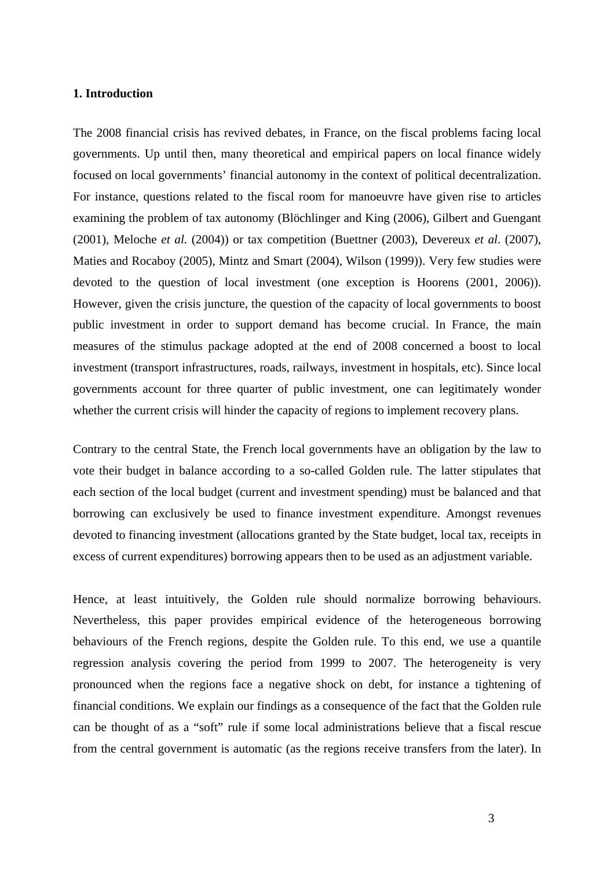### **1. Introduction**

The 2008 financial crisis has revived debates, in France, on the fiscal problems facing local governments. Up until then, many theoretical and empirical papers on local finance widely focused on local governments' financial autonomy in the context of political decentralization. For instance, questions related to the fiscal room for manoeuvre have given rise to articles examining the problem of tax autonomy (Blöchlinger and King (2006), Gilbert and Guengant (2001), Meloche *et al.* (2004)) or tax competition (Buettner (2003), Devereux *et al*. (2007), Maties and Rocaboy (2005), Mintz and Smart (2004), Wilson (1999)). Very few studies were devoted to the question of local investment (one exception is Hoorens (2001, 2006)). However, given the crisis juncture, the question of the capacity of local governments to boost public investment in order to support demand has become crucial. In France, the main measures of the stimulus package adopted at the end of 2008 concerned a boost to local investment (transport infrastructures, roads, railways, investment in hospitals, etc). Since local governments account for three quarter of public investment, one can legitimately wonder whether the current crisis will hinder the capacity of regions to implement recovery plans.

Contrary to the central State, the French local governments have an obligation by the law to vote their budget in balance according to a so-called Golden rule. The latter stipulates that each section of the local budget (current and investment spending) must be balanced and that borrowing can exclusively be used to finance investment expenditure. Amongst revenues devoted to financing investment (allocations granted by the State budget, local tax, receipts in excess of current expenditures) borrowing appears then to be used as an adjustment variable.

Hence, at least intuitively, the Golden rule should normalize borrowing behaviours. Nevertheless, this paper provides empirical evidence of the heterogeneous borrowing behaviours of the French regions, despite the Golden rule. To this end, we use a quantile regression analysis covering the period from 1999 to 2007. The heterogeneity is very pronounced when the regions face a negative shock on debt, for instance a tightening of financial conditions. We explain our findings as a consequence of the fact that the Golden rule can be thought of as a "soft" rule if some local administrations believe that a fiscal rescue from the central government is automatic (as the regions receive transfers from the later). In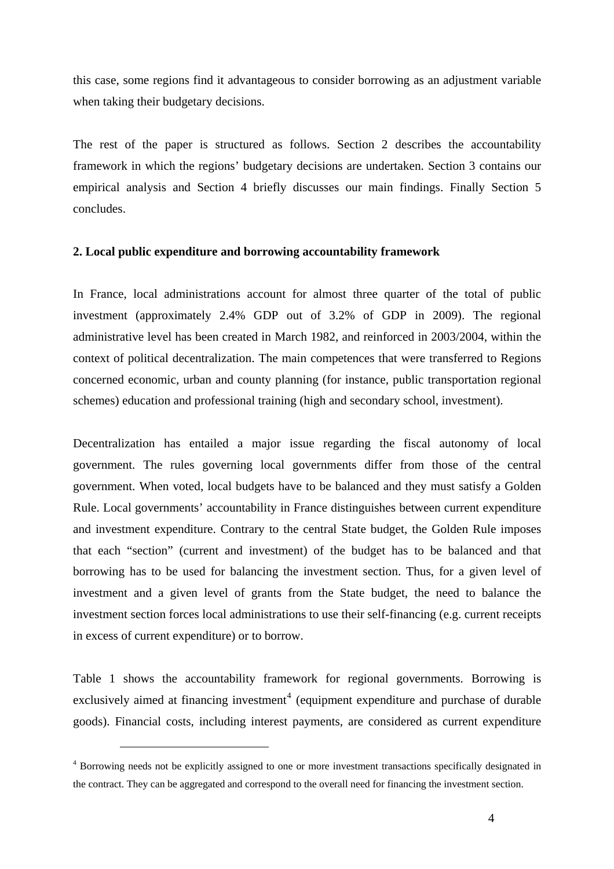this case, some regions find it advantageous to consider borrowing as an adjustment variable when taking their budgetary decisions.

The rest of the paper is structured as follows. Section 2 describes the accountability framework in which the regions' budgetary decisions are undertaken. Section 3 contains our empirical analysis and Section 4 briefly discusses our main findings. Finally Section 5 concludes.

### **2. Local public expenditure and borrowing accountability framework**

In France, local administrations account for almost three quarter of the total of public investment (approximately 2.4% GDP out of 3.2% of GDP in 2009). The regional administrative level has been created in March 1982, and reinforced in 2003/2004, within the context of political decentralization. The main competences that were transferred to Regions concerned economic, urban and county planning (for instance, public transportation regional schemes) education and professional training (high and secondary school, investment).

Decentralization has entailed a major issue regarding the fiscal autonomy of local government. The rules governing local governments differ from those of the central government. When voted, local budgets have to be balanced and they must satisfy a Golden Rule. Local governments' accountability in France distinguishes between current expenditure and investment expenditure. Contrary to the central State budget, the Golden Rule imposes that each "section" (current and investment) of the budget has to be balanced and that borrowing has to be used for balancing the investment section. Thus, for a given level of investment and a given level of grants from the State budget, the need to balance the investment section forces local administrations to use their self-financing (e.g. current receipts in excess of current expenditure) or to borrow.

Table 1 shows the accountability framework for regional governments. Borrowing is exclusively aimed at financing investment<sup>4</sup> (equipment expenditure and purchase of durable goods). Financial costs, including interest payments, are considered as current expenditure

<sup>&</sup>lt;sup>4</sup> Borrowing needs not be explicitly assigned to one or more investment transactions specifically designated in the contract. They can be aggregated and correspond to the overall need for financing the investment section.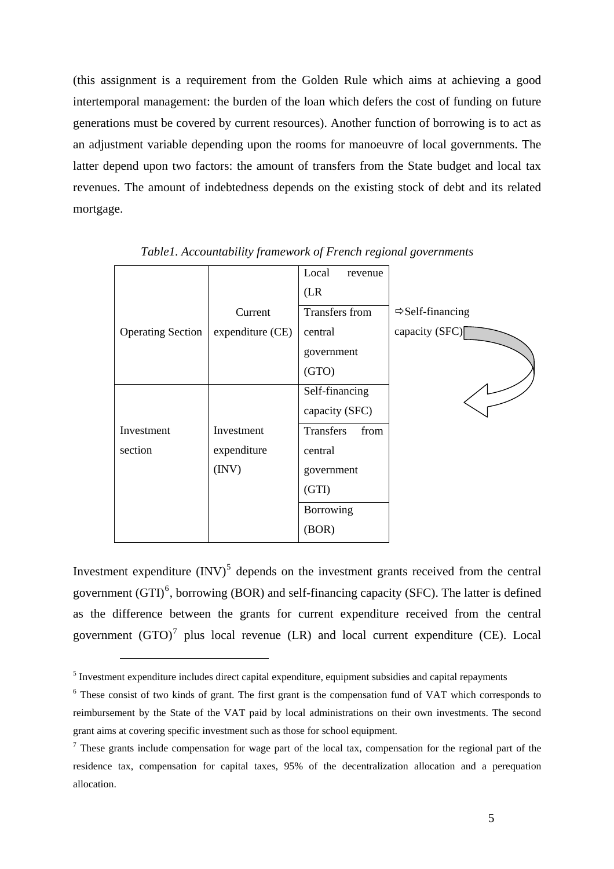<span id="page-6-0"></span>(this assignment is a requirement from the Golden Rule which aims at achieving a good intertemporal management: the burden of the loan which defers the cost of funding on future generations must be covered by current resources). Another function of borrowing is to act as an adjustment variable depending upon the rooms for manoeuvre of local governments. The latter depend upon two factors: the amount of transfers from the State budget and local tax revenues. The amount of indebtedness depends on the existing stock of debt and its related mortgage.

|                          |                  | Local          | revenue |                              |
|--------------------------|------------------|----------------|---------|------------------------------|
|                          |                  | (LR)           |         |                              |
|                          | Current          | Transfers from |         | $\Rightarrow$ Self-financing |
| <b>Operating Section</b> | expenditure (CE) | central        |         | capacity (SFC)               |
|                          |                  | government     |         |                              |
|                          |                  | (GTO)          |         |                              |
|                          |                  | Self-financing |         |                              |
|                          |                  | capacity (SFC) |         |                              |
| Investment               | Investment       | Transfers      | from    |                              |
| section                  | expenditure      | central        |         |                              |
|                          | (INV)            | government     |         |                              |
|                          |                  | (GTI)          |         |                              |
|                          |                  | Borrowing      |         |                              |
|                          |                  | (BOR)          |         |                              |

*Table1. Accountability framework of French regional governments* 

Investment expenditure  $(INV)^5$  depends on the investment grants received from the central government  $(GTI)^6$ , borrowing (BOR) and self-financing capacity (SFC). The latter is defined as the difference between t[he](#page-6-0) grants for current expenditure received from the central government  $(GTO)^7$  $(GTO)^7$  $(GTO)^7$  plus local revenue (LR) and local current expenditure (CE). Local

<sup>&</sup>lt;sup>5</sup> Investment expenditur[e](#page-6-0) includes direct capital expenditure, equipment subsidies and capital repayments

<sup>&</sup>lt;sup>6</sup> These consist of two kinds of grant. The first grant is the compensation fund of VAT which corresponds to reimbursement by the State of the VAT paid by local administrations on their own investments. The second grant aims at covering specific investment such as those for school equipment.

 $<sup>7</sup>$  These grants include compensation for wage part of the local tax, compensation for the regional part of the</sup> residence tax, compensation for capital taxes, 95% of the decentralization allocation and a perequation allocation.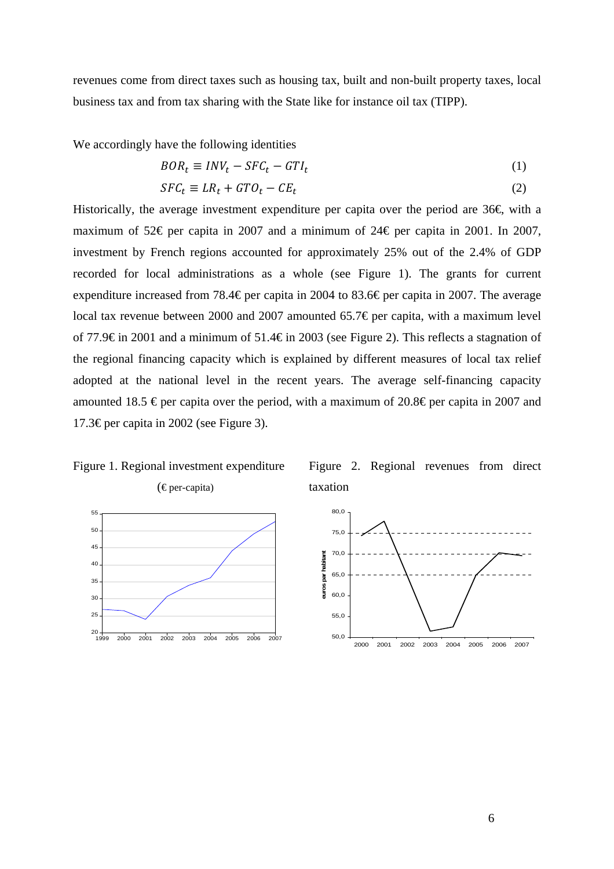revenues come from direct taxes such as housing tax, built and non-built property taxes, local business tax and from tax sharing with the State like for instance oil tax (TIPP).

We accordingly have the following identities

$$
BOR_t \equiv INV_t - SFC_t - GTI_t \tag{1}
$$

$$
SFC_t \equiv LR_t + GTO_t - CE_t \tag{2}
$$

Historically, the average investment expenditure per capita over the period are  $36\epsilon$  with a maximum of 52€ per capita in 2007 and a minimum of 24€ per capita in 2001. In 2007, investment by French regions accounted for approximately 25% out of the 2.4% of GDP recorded for local administrations as a whole (see Figure 1). The grants for current expenditure increased from 78.4€ per capita in 2004 to 83.6€ per capita in 2007. The average local tax revenue between 2000 and 2007 amounted 65.7€ per capita, with a maximum level of 77.9€ in 2001 and a minimum of 51.4€ in 2003 (see Figure 2). This reflects a stagnation of the regional financing capacity which is explained by different measures of local tax relief adopted at the national level in the recent years. The average self-financing capacity amounted 18.5  $\epsilon$  per capita over the period, with a maximum of 20.8 $\epsilon$  per capita in 2007 and 17.3€ per capita in 2002 (see Figure 3).

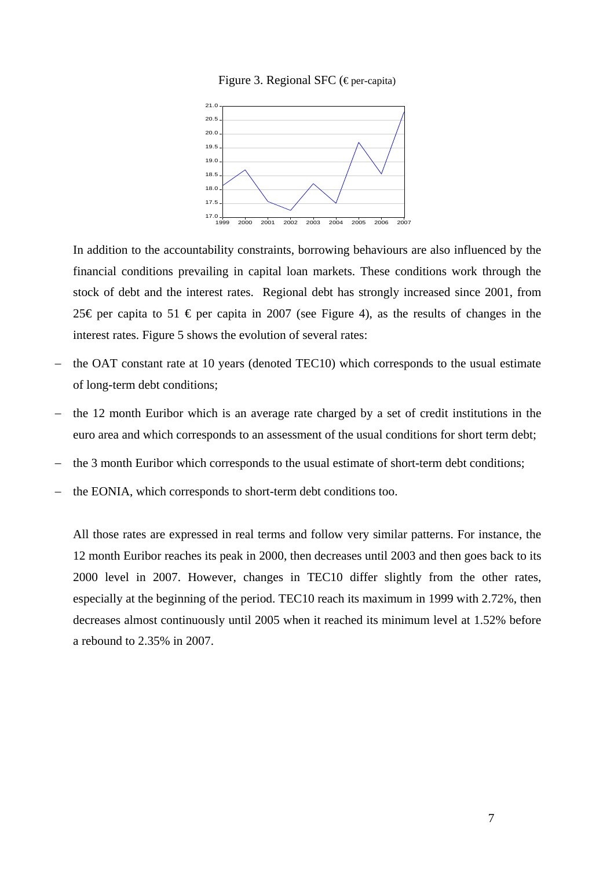



In addition to the accountability constraints, borrowing behaviours are also influenced by the financial conditions prevailing in capital loan markets. These conditions work through the stock of debt and the interest rates. Regional debt has strongly increased since 2001, from 25€ per capita to 51 € per capita in 2007 (see Figure 4), as the results of changes in the interest rates. Figure 5 shows the evolution of several rates:

- the OAT constant rate at 10 years (denoted TEC10) which corresponds to the usual estimate of long-term debt conditions;
- the 12 month Euribor which is an average rate charged by a set of credit institutions in the euro area and which corresponds to an assessment of the usual conditions for short term debt;
- the 3 month Euribor which corresponds to the usual estimate of short-term debt conditions;
- the EONIA, which corresponds to short-term debt conditions too.

All those rates are expressed in real terms and follow very similar patterns. For instance, the 12 month Euribor reaches its peak in 2000, then decreases until 2003 and then goes back to its 2000 level in 2007. However, changes in TEC10 differ slightly from the other rates, especially at the beginning of the period. TEC10 reach its maximum in 1999 with 2.72%, then decreases almost continuously until 2005 when it reached its minimum level at 1.52% before a rebound to 2.35% in 2007.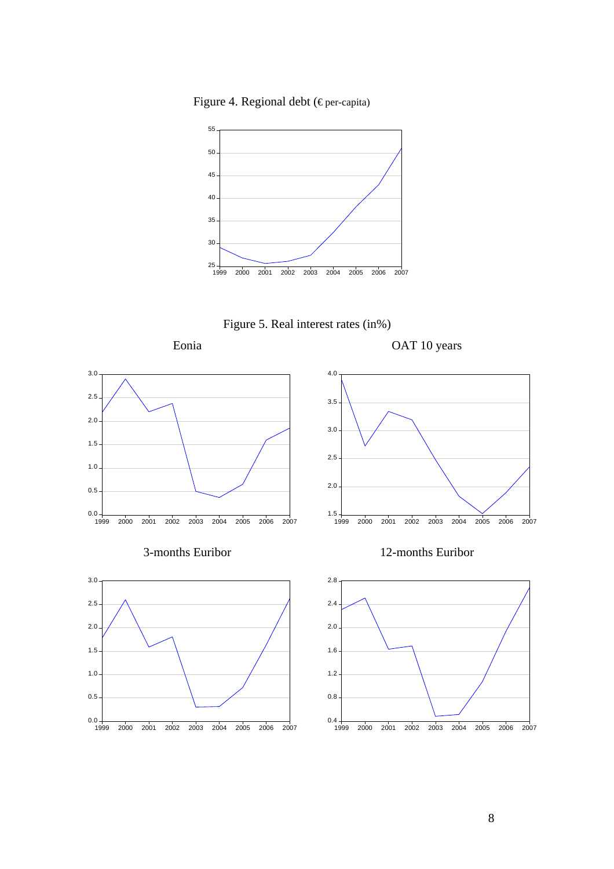Figure 4. Regional debt (€ per-capita)



Figure 5. Real interest rates (in%)

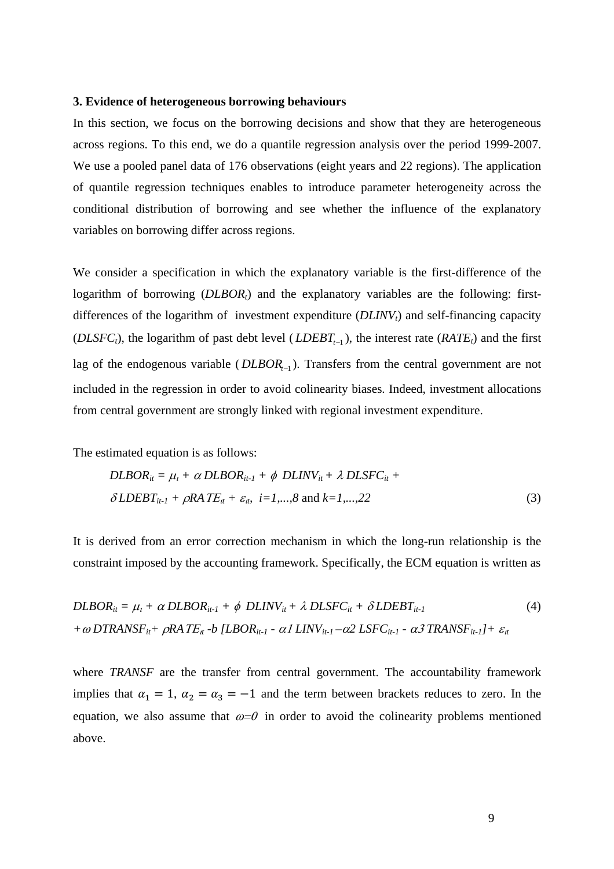### **3. Evidence of heterogeneous borrowing behaviours**

In this section, we focus on the borrowing decisions and show that they are heterogeneous across regions. To this end, we do a quantile regression analysis over the period 1999-2007. We use a pooled panel data of 176 observations (eight years and 22 regions). The application of quantile regression techniques enables to introduce parameter heterogeneity across the conditional distribution of borrowing and see whether the influence of the explanatory variables on borrowing differ across regions.

We consider a specification in which the explanatory variable is the first-difference of the logarithm of borrowing (*DLBOR<sub>t</sub>*) and the explanatory variables are the following: firstdifferences of the logarithm of investment expenditure  $(DLINV<sub>t</sub>)$  and self-financing capacity (*DLSFC<sub>t</sub>*), the logarithm of past debt level (*LDEBT<sub>t−1</sub>*), the interest rate (*RATE<sub>t</sub>*) and the first lag of the endogenous variable (*DLBOR*<sub> $-1$ </sub>). Transfers from the central government are not included in the regression in order to avoid colinearity biases. Indeed, investment allocations from central government are strongly linked with regional investment expenditure.

The estimated equation is as follows:

$$
DLBOR_{it} = \mu_t + \alpha DLBOR_{it-1} + \phi DLINV_{it} + \lambda DLSFC_{it} +
$$
  

$$
\delta LDEBT_{it-1} + \rho RATE_{it} + \varepsilon_{it}, \quad i=1,...,8 \text{ and } k=1,...,22
$$
 (3)

It is derived from an error correction mechanism in which the long-run relationship is the constraint imposed by the accounting framework. Specifically, the ECM equation is written as

$$
DLBOR_{it} = \mu_t + \alpha DLBOR_{it-1} + \phi DLINV_{it} + \lambda DLSFC_{it} + \delta LDEBT_{it-1}
$$
\n
$$
+ \omega DTRANSF_{it} + \rho RATE_{it} - b [LBOR_{it-1} - \alpha LINV_{it-1} - \alpha 2 LSFC_{it-1} - \alpha 3 TRANSF_{it-1}] + \varepsilon_{it}
$$
\n
$$
(4)
$$

where *TRANSF* are the transfer from central government. The accountability framework implies that  $\alpha_1 = 1$ ,  $\alpha_2 = \alpha_3 = -1$  and the term between brackets reduces to zero. In the equation, we also assume that  $\omega = 0$  in order to avoid the colinearity problems mentioned above.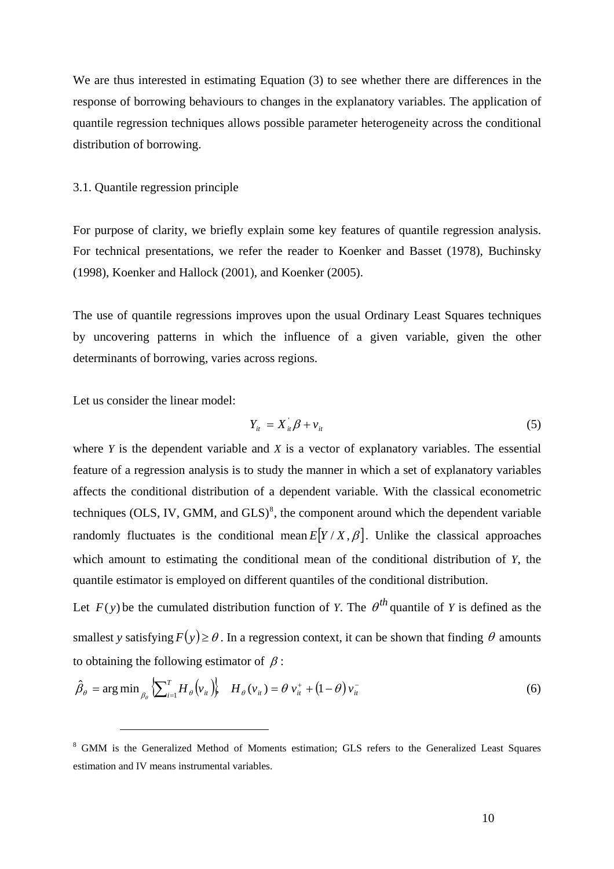<span id="page-11-0"></span>We are thus interested in estimating Equation (3) to see whether there are differences in the response of borrowing behaviours to changes in the explanatory variables. The application of quantile regression techniques allows possible parameter heterogeneity across the conditional distribution of borrowing.

### 3.1. Quantile regression principle

For purpose of clarity, we briefly explain some key features of quantile regression analysis. For technical presentations, we refer the reader to Koenker and Basset (1978), Buchinsky (1998), Koenker and Hallock (2001), and Koenker (2005).

The use of quantile regressions improves upon the usual Ordinary Least Squares techniques by uncovering patterns in which the influence of a given variable, given the other determinants of borrowing, varies across regions.

Let us consider the linear model:

 $\overline{a}$ 

$$
Y_{it} = X_{it} \beta + v_{it} \tag{5}
$$

where *Y* is the dependent variable and *X* is a vector of explanatory variables. The essential feature of a regression analysis is to study the manner in which a set of explanatory variables affects the conditional distribution of a dependent variable. With the classical econometric techniques (OLS, IV, GMM, and  $GLS$ <sup>8</sup>, the component around which the dependent variable randomly fluctuates is the conditional mean  $E[Y/X, \beta]$ . Unlike the classical approaches which amount to estimating the cond[it](#page-11-0)ional mean of the conditional distribution of *Y*, the quantile estimator is employed on different quantiles of the conditional distribution.

Let  $F(y)$  be the cumulated distribution function of *Y*. The  $\theta^{th}$  quantile of *Y* is defined as the smallest *y* satisfying  $F(y) \ge \theta$ . In a regression context, it can be shown that finding  $\theta$  amounts to obtaining the following estimator of  $\beta$ :

$$
\hat{\beta}_{\theta} = \arg \min_{\beta_{\theta}} \left\{ \sum_{i=1}^{T} H_{\theta}(v_{ii}) \right\} \quad H_{\theta}(v_{ii}) = \theta \, v_{ii}^+ + \left( 1 - \theta \right) v_{ii}^- \tag{6}
$$

<sup>&</sup>lt;sup>8</sup> GMM is the Generalized Method of Moments estimation; GLS refers to the Generalized Least Squares estimation and IV means instrumental variables.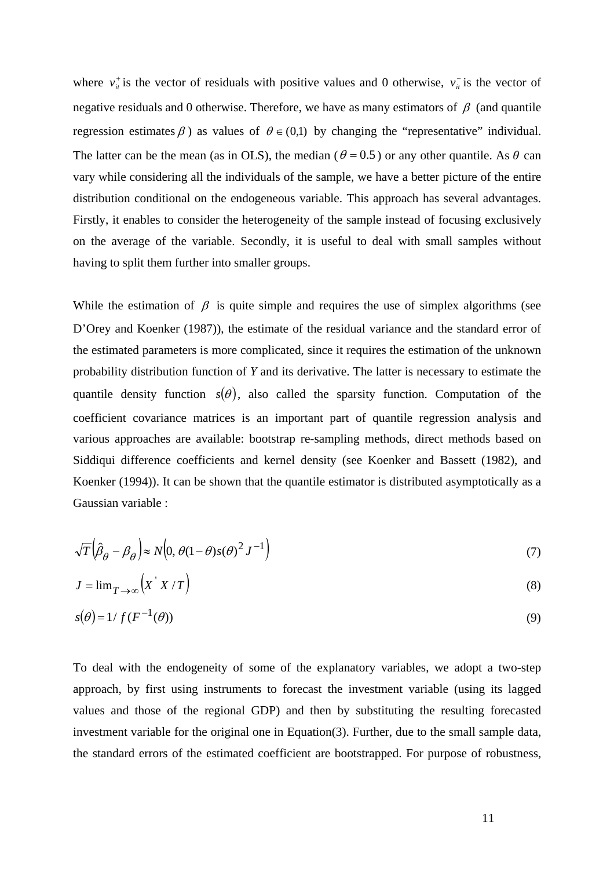where  $v_{\mu}^{+}$  is the vector of residuals with positive values and 0 otherwise,  $v_{\mu}^{-}$  is the vector of negative residuals and 0 otherwise. Therefore, we have as many estimators of  $\beta$  (and quantile regression estimates  $\beta$ ) as values of  $\theta \in (0,1)$  by changing the "representative" individual. The latter can be the mean (as in OLS), the median ( $\theta = 0.5$ ) or any other quantile. As  $\theta$  can vary while considering all the individuals of the sample, we have a better picture of the entire distribution conditional on the endogeneous variable. This approach has several advantages. Firstly, it enables to consider the heterogeneity of the sample instead of focusing exclusively on the average of the variable. Secondly, it is useful to deal with small samples without having to split them further into smaller groups.

While the estimation of  $\beta$  is quite simple and requires the use of simplex algorithms (see D'Orey and Koenker (1987)), the estimate of the residual variance and the standard error of the estimated parameters is more complicated, since it requires the estimation of the unknown probability distribution function of *Y* and its derivative. The latter is necessary to estimate the quantile density function  $s(\theta)$ , also called the sparsity function. Computation of the coefficient covariance matrices is an important part of quantile regression analysis and various approaches are available: bootstrap re-sampling methods, direct methods based on Siddiqui difference coefficients and kernel density (see Koenker and Bassett (1982), and Koenker (1994)). It can be shown that the quantile estimator is distributed asymptotically as a Gaussian variable :

$$
\sqrt{T} \left( \hat{\beta}_{\theta} - \beta_{\theta} \right) \approx N \left( 0, \theta (1 - \theta) s (\theta)^2 J^{-1} \right) \tag{7}
$$

$$
J = \lim_{T \to \infty} \left( X' X / T \right) \tag{8}
$$

$$
s(\theta) = 1/f(F^{-1}(\theta))
$$
\n(9)

To deal with the endogeneity of some of the explanatory variables, we adopt a two-step approach, by first using instruments to forecast the investment variable (using its lagged values and those of the regional GDP) and then by substituting the resulting forecasted investment variable for the original one in Equation(3). Further, due to the small sample data, the standard errors of the estimated coefficient are bootstrapped. For purpose of robustness,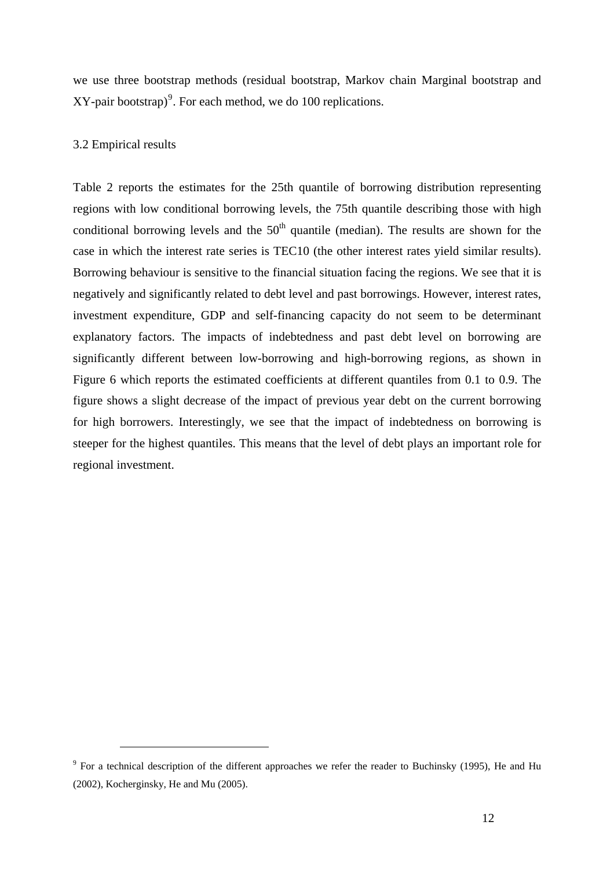<span id="page-13-0"></span>we use three bootstrap methods (residual bootstrap, Markov chain Marginal bootstrap and  $XY$ -pair bootstrap)<sup>9</sup>. For each method, we do 100 replications.

### 3.2 Empirical resul[ts](#page-13-0)

 $\overline{a}$ 

Table 2 reports the estimates for the 25th quantile of borrowing distribution representing regions with low conditional borrowing levels, the 75th quantile describing those with high conditional borrowing levels and the  $50<sup>th</sup>$  quantile (median). The results are shown for the case in which the interest rate series is TEC10 (the other interest rates yield similar results). Borrowing behaviour is sensitive to the financial situation facing the regions. We see that it is negatively and significantly related to debt level and past borrowings. However, interest rates, investment expenditure, GDP and self-financing capacity do not seem to be determinant explanatory factors. The impacts of indebtedness and past debt level on borrowing are significantly different between low-borrowing and high-borrowing regions, as shown in Figure 6 which reports the estimated coefficients at different quantiles from 0.1 to 0.9. The figure shows a slight decrease of the impact of previous year debt on the current borrowing for high borrowers. Interestingly, we see that the impact of indebtedness on borrowing is steeper for the highest quantiles. This means that the level of debt plays an important role for regional investment.

<sup>&</sup>lt;sup>9</sup> For a technical description of the different approaches we refer the reader to Buchinsky (1995), He and Hu (2002), Kocherginsky, He and Mu (2005).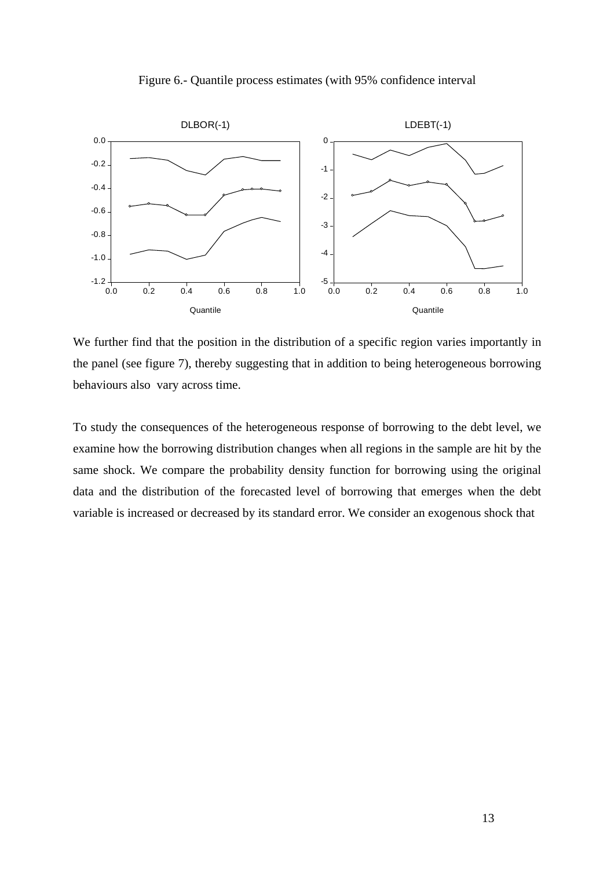Figure 6.- Quantile process estimates (with 95% confidence interval



We further find that the position in the distribution of a specific region varies importantly in the panel (see figure 7), thereby suggesting that in addition to being heterogeneous borrowing behaviours also vary across time.

To study the consequences of the heterogeneous response of borrowing to the debt level, we examine how the borrowing distribution changes when all regions in the sample are hit by the same shock. We compare the probability density function for borrowing using the original data and the distribution of the forecasted level of borrowing that emerges when the debt variable is increased or decreased by its standard error. We consider an exogenous shock that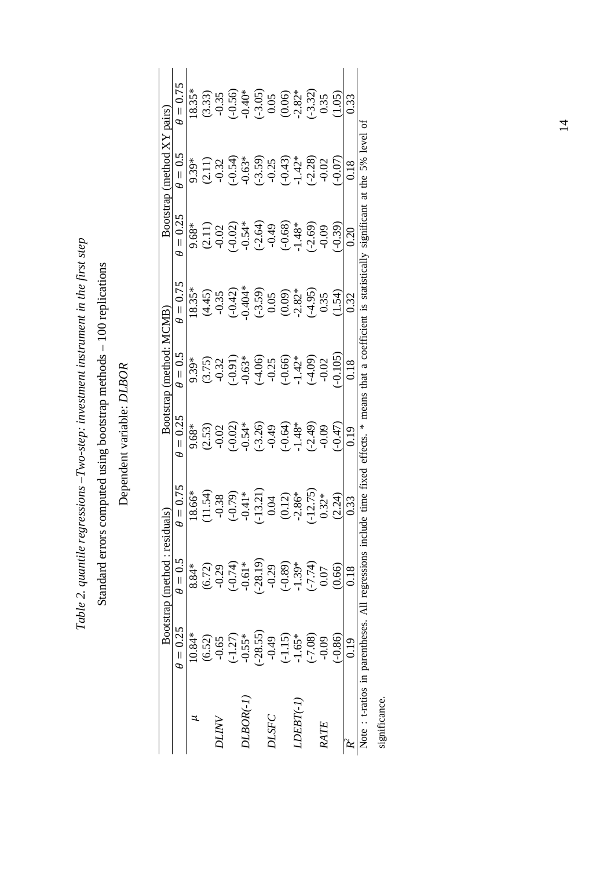Table 2. quantile regressions-Two-step: investment instrument in the first step *Table 2. quantile regressions –Two-step: investment instrument in the first step* 

# Standard errors computed using bootstrap methods - 100 replications Standard errors computed using bootstrap methods – 100 replications

Dependent variable: DLBOR Dependent variable: *DLBOR*

| $\theta = 0.25$<br>$10.84*$<br>$-0.55*$<br>$(-1.27)$<br>(6.52)<br>$-0.65$<br>$0.100R(-1)$<br>ANTIC | $\theta = 0.5$<br>8.84* |               |           |                | Bootstrap (method: MCMB | Bootstrap (method XY pairs) |                |                      |
|----------------------------------------------------------------------------------------------------|-------------------------|---------------|-----------|----------------|-------------------------|-----------------------------|----------------|----------------------|
|                                                                                                    |                         | $= 0.75$<br>Φ | $= 0.25$  | $\theta = 0.5$ | $\theta = 0.75$         | $\theta = 0.25$             | $\theta = 0.5$ | $\theta = 0.75$      |
|                                                                                                    |                         | $18.66*$      | 9.68*     | 9.39*          | $18.35*$                | 9.68*                       | 9.39*          | $18.35*$             |
|                                                                                                    | (6.72)                  | 11.54)        | (2.53)    | (3.75)         |                         |                             | (2.11)         | (3.33)               |
|                                                                                                    | $-0.29$                 | $-0.38$       | $-0.02$   | $-0.32$        | $(4.45)$<br>$-0.35$     | $(2.11)$<br>$-0.02$         | $-0.32$        | $-0.35$              |
|                                                                                                    | $(-0.74)$               | $(-0.79)$     | (9.02)    | (16.0)         | $(-0.42)$               | $-0.02$                     | $(-0.54)$      | $(-0.56)$            |
|                                                                                                    | $-0.61*$                | $-0.41*$      | $0.54*$   | $0.63*$        | $0.404*$                | $-0.54*$                    | $-0.63*$       | $-0.40*$             |
| $-28.55$                                                                                           | $-28.19$                | $-13.21$      | $(-3.26)$ | (4.06)         | $(-3.59)$               | $(-2.64)$                   | $(-3.59)$      |                      |
| $-0.49$<br><b>DLSFC</b>                                                                            | $-0.29$                 | 0.04          | $-0.49$   | $-0.25$        | 0.05                    | $-0.49$                     | $-0.25$        | $\frac{-3.05}{0.05}$ |
| $(-1.15)$                                                                                          | $(-0.89)$               | (0.12)        | $(-0.64)$ | $(-0.66)$      | (0.09)                  | $(-0.68)$                   | $(-0.43)$      |                      |
| $-1.65*$<br>$\emph{LBIT-1}$                                                                        | $-1.39*$                | $-2.86*$      | $-1.48*$  | $-1.42*$       | $-2.82*$                | $1.48*$                     | $-1.42*$       | $(0.06)$<br>$-2.82*$ |
| $(-7.08)$                                                                                          | $(-7.74)$               | $-12.75$      | $(-2.49)$ | $(-4.09)$      | (4.95)                  | $(-2.69)$                   | $(-2.28)$      | $(-3.32)$            |
| $-0.09$<br>RATE                                                                                    | 0.07                    | $0.32*$       | $-0.09$   | $-0.02$        | 0.35                    | $-0.09$                     | $-0.02$        | 0.35                 |
| $-0.86$                                                                                            | (0.66)                  | (2.24)        | (147)     | $-0.105$       | (1.54)                  | $-0.39$                     | (50.07)        | 1.05                 |
| 0.19                                                                                               | 0.18                    | 0.33          | 0.19      | 0.18           | 0.32                    | 0.20                        | 0.18           | 0.33                 |

significance. significance.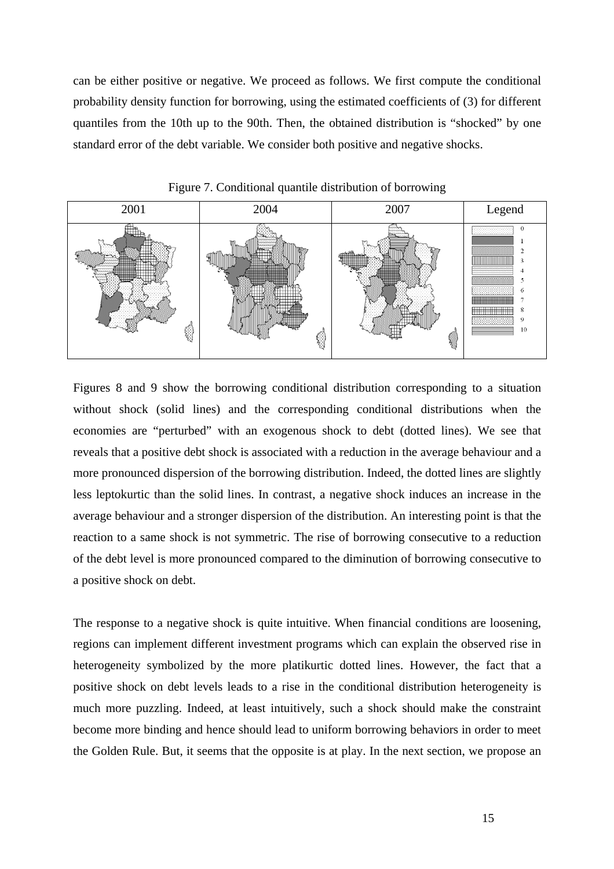can be either positive or negative. We proceed as follows. We first compute the conditional probability density function for borrowing, using the estimated coefficients of (3) for different quantiles from the 10th up to the 90th. Then, the obtained distribution is "shocked" by one standard error of the debt variable. We consider both positive and negative shocks.



Figure 7. Conditional quantile distribution of borrowing

Figures 8 and 9 show the borrowing conditional distribution corresponding to a situation without shock (solid lines) and the corresponding conditional distributions when the economies are "perturbed" with an exogenous shock to debt (dotted lines). We see that reveals that a positive debt shock is associated with a reduction in the average behaviour and a more pronounced dispersion of the borrowing distribution. Indeed, the dotted lines are slightly less leptokurtic than the solid lines. In contrast, a negative shock induces an increase in the average behaviour and a stronger dispersion of the distribution. An interesting point is that the reaction to a same shock is not symmetric. The rise of borrowing consecutive to a reduction of the debt level is more pronounced compared to the diminution of borrowing consecutive to a positive shock on debt.

The response to a negative shock is quite intuitive. When financial conditions are loosening, regions can implement different investment programs which can explain the observed rise in heterogeneity symbolized by the more platikurtic dotted lines. However, the fact that a positive shock on debt levels leads to a rise in the conditional distribution heterogeneity is much more puzzling. Indeed, at least intuitively, such a shock should make the constraint become more binding and hence should lead to uniform borrowing behaviors in order to meet the Golden Rule. But, it seems that the opposite is at play. In the next section, we propose an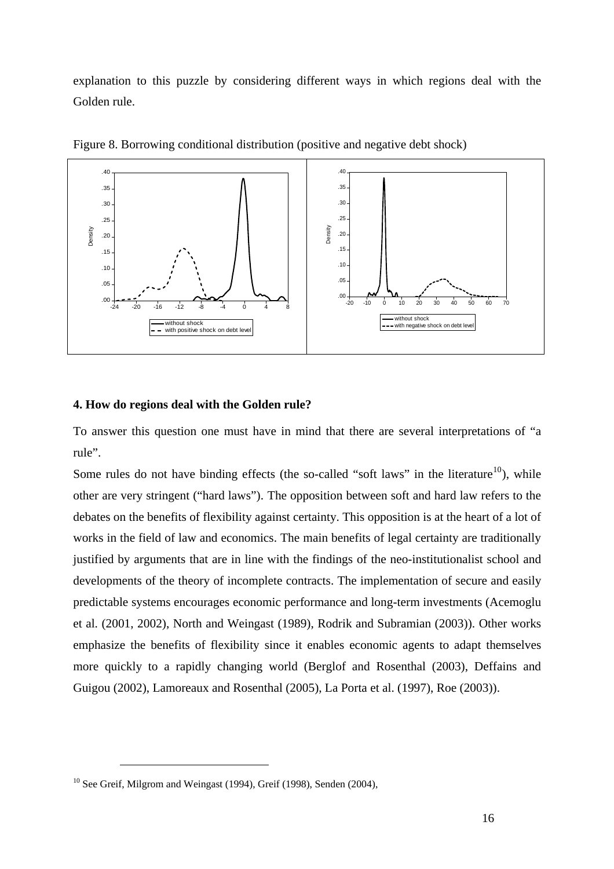<span id="page-17-0"></span>explanation to this puzzle by considering different ways in which regions deal with the Golden rule.



Figure 8. Borrowing conditional distribution (positive and negative debt shock)

### **4. How do regions deal with the Golden rule?**

To answer this question one must have in mind that there are several interpretations of "a rule".

Some rules do not have binding effects (the so-called "soft laws" in the literature<sup>10</sup>), while other are very stringent ("hard laws"). The opposition between soft and hard law refers to the debates on the benefits of flexibility against certainty. This opposition is at the heart [of](#page-17-0) a lot of works in the field of law and economics. The main benefits of legal certainty are traditionally justified by arguments that are in line with the findings of the neo-institutionalist school and developments of the theory of incomplete contracts. The implementation of secure and easily predictable systems encourages economic performance and long-term investments (Acemoglu et al. (2001, 2002), North and Weingast (1989), Rodrik and Subramian (2003)). Other works emphasize the benefits of flexibility since it enables economic agents to adapt themselves more quickly to a rapidly changing world (Berglof and Rosenthal (2003), Deffains and Guigou (2002), Lamoreaux and Rosenthal (2005), La Porta et al. (1997), Roe (2003)).

<sup>&</sup>lt;sup>10</sup> See Greif, Milgrom and Weingast (1994), Greif (1998), Senden (2004),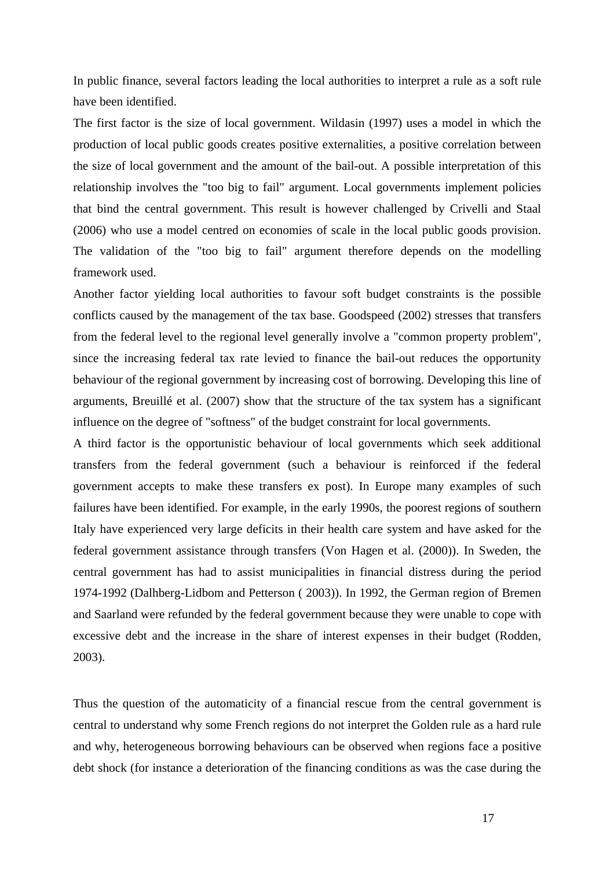In public finance, several factors leading the local authorities to interpret a rule as a soft rule have been identified.

The first factor is the size of local government. Wildasin (1997) uses a model in which the production of local public goods creates positive externalities, a positive correlation between the size of local government and the amount of the bail-out. A possible interpretation of this relationship involves the "too big to fail" argument. Local governments implement policies that bind the central government. This result is however challenged by Crivelli and Staal (2006) who use a model centred on economies of scale in the local public goods provision. The validation of the "too big to fail" argument therefore depends on the modelling framework used.

Another factor yielding local authorities to favour soft budget constraints is the possible conflicts caused by the management of the tax base. Goodspeed (2002) stresses that transfers from the federal level to the regional level generally involve a "common property problem", since the increasing federal tax rate levied to finance the bail-out reduces the opportunity behaviour of the regional government by increasing cost of borrowing. Developing this line of arguments, Breuillé et al. (2007) show that the structure of the tax system has a significant influence on the degree of "softness" of the budget constraint for local governments.

A third factor is the opportunistic behaviour of local governments which seek additional transfers from the federal government (such a behaviour is reinforced if the federal government accepts to make these transfers ex post). In Europe many examples of such failures have been identified. For example, in the early 1990s, the poorest regions of southern Italy have experienced very large deficits in their health care system and have asked for the federal government assistance through transfers (Von Hagen et al. (2000)). In Sweden, the central government has had to assist municipalities in financial distress during the period 1974-1992 (Dalhberg-Lidbom and Petterson ( 2003)). In 1992, the German region of Bremen and Saarland were refunded by the federal government because they were unable to cope with excessive debt and the increase in the share of interest expenses in their budget (Rodden, 2003).

Thus the question of the automaticity of a financial rescue from the central government is central to understand why some French regions do not interpret the Golden rule as a hard rule and why, heterogeneous borrowing behaviours can be observed when regions face a positive debt shock (for instance a deterioration of the financing conditions as was the case during the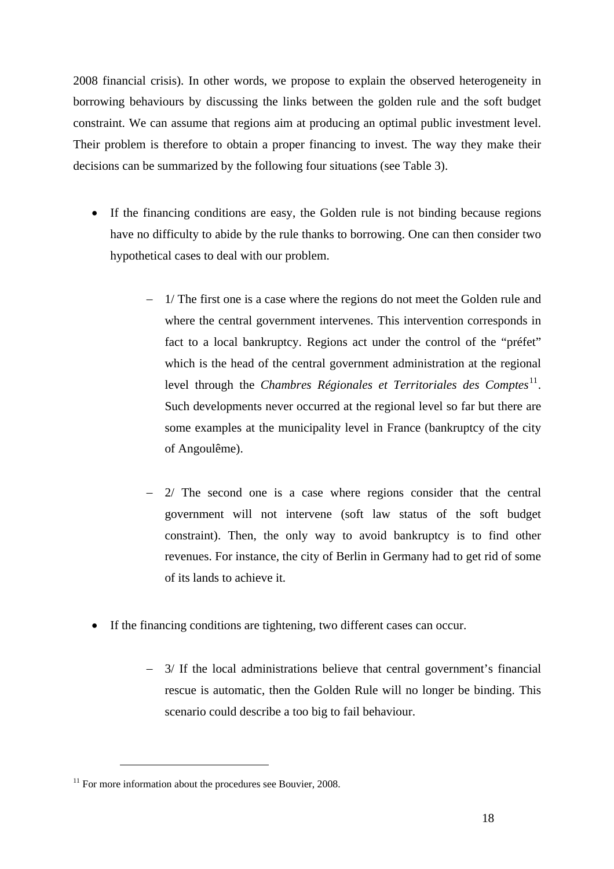<span id="page-19-0"></span>2008 financial crisis). In other words, we propose to explain the observed heterogeneity in borrowing behaviours by discussing the links between the golden rule and the soft budget constraint. We can assume that regions aim at producing an optimal public investment level. Their problem is therefore to obtain a proper financing to invest. The way they make their decisions can be summarized by the following four situations (see Table 3).

- If the financing conditions are easy, the Golden rule is not binding because regions have no difficulty to abide by the rule thanks to borrowing. One can then consider two hypothetical cases to deal with our problem.
	- − 1/ The first one is a case where the regions do not meet the Golden rule and where the central government intervenes. This intervention corresponds in fact to a local bankruptcy. Regions act under the control of the "préfet" which is the head of the central government administration at the regional level through the *Chambres Régionales et Territoriales des Comptes*<sup>11</sup>. Such developments never occurred at the regional level so far but there are some examples at the municipality level in France (bankruptcy of the c[ity](#page-19-0) of Angoulême).
	- 2/ The second one is a case where regions consider that the central government will not intervene (soft law status of the soft budget constraint). Then, the only way to avoid bankruptcy is to find other revenues. For instance, the city of Berlin in Germany had to get rid of some of its lands to achieve it.
- If the financing conditions are tightening, two different cases can occur.
	- − 3/ If the local administrations believe that central government's financial rescue is automatic, then the Golden Rule will no longer be binding. This scenario could describe a too big to fail behaviour.

 $11$  For more information about the procedures see Bouvier, 2008.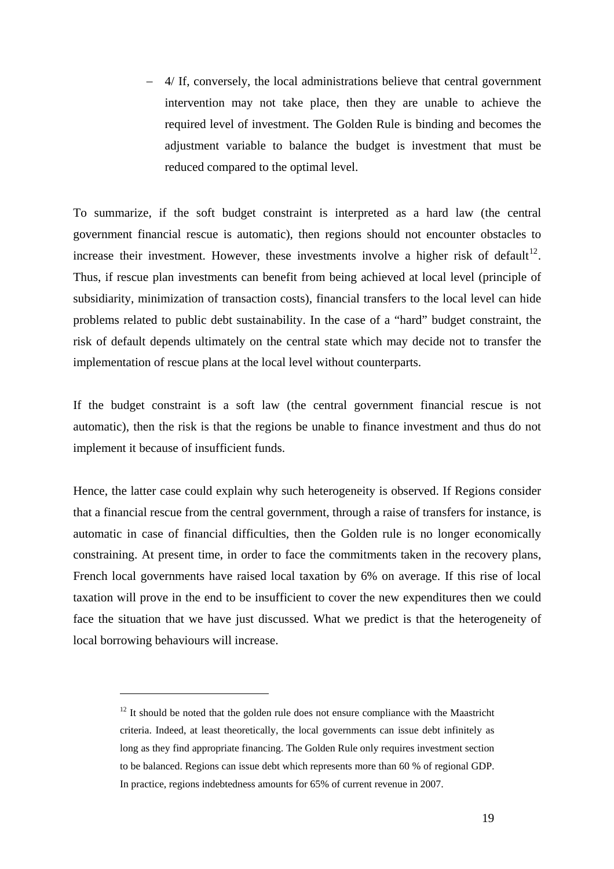<span id="page-20-0"></span>− 4/ If, conversely, the local administrations believe that central government intervention may not take place, then they are unable to achieve the required level of investment. The Golden Rule is binding and becomes the adjustment variable to balance the budget is investment that must be reduced compared to the optimal level.

To summarize, if the soft budget constraint is interpreted as a hard law (the central government financial rescue is automatic), then regions should not encounter obstacles to increase their investment. However, these investments involve a higher risk of default<sup>12</sup>. Thus, if rescue plan investments can benefit from being achieved at local level (principle of subsidiarity, minimization of transaction costs), financial transfers to the local level can h[ide](#page-20-0) problems related to public debt sustainability. In the case of a "hard" budget constraint, the risk of default depends ultimately on the central state which may decide not to transfer the implementation of rescue plans at the local level without counterparts.

If the budget constraint is a soft law (the central government financial rescue is not automatic), then the risk is that the regions be unable to finance investment and thus do not implement it because of insufficient funds.

Hence, the latter case could explain why such heterogeneity is observed. If Regions consider that a financial rescue from the central government, through a raise of transfers for instance, is automatic in case of financial difficulties, then the Golden rule is no longer economically constraining. At present time, in order to face the commitments taken in the recovery plans, French local governments have raised local taxation by 6% on average. If this rise of local taxation will prove in the end to be insufficient to cover the new expenditures then we could face the situation that we have just discussed. What we predict is that the heterogeneity of local borrowing behaviours will increase.

 $12$  It should be noted that the golden rule does not ensure compliance with the Maastricht criteria. Indeed, at least theoretically, the local governments can issue debt infinitely as long as they find appropriate financing. The Golden Rule only requires investment section to be balanced. Regions can issue debt which represents more than 60 % of regional GDP. In practice, regions indebtedness amounts for 65% of current revenue in 2007.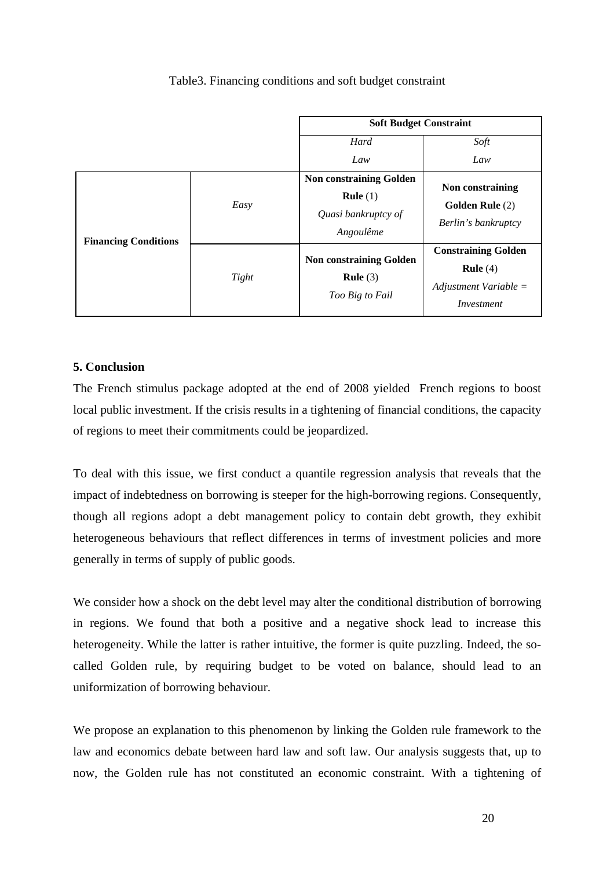# Table3. Financing conditions and soft budget constraint

|                             |       | <b>Soft Budget Constraint</b>                                                    |                                                                                          |  |
|-----------------------------|-------|----------------------------------------------------------------------------------|------------------------------------------------------------------------------------------|--|
|                             |       | Hard                                                                             | Soft                                                                                     |  |
|                             |       | Law                                                                              | Law                                                                                      |  |
| <b>Financing Conditions</b> | Easy  | <b>Non constraining Golden</b><br>Rule $(1)$<br>Quasi bankruptcy of<br>Angoulême | Non constraining<br><b>Golden Rule</b> (2)<br>Berlin's bankruptcy                        |  |
|                             | Tight | <b>Non constraining Golden</b><br>Rule $(3)$<br>Too Big to Fail                  | <b>Constraining Golden</b><br><b>Rule</b> $(4)$<br>Adjustment Variable $=$<br>Investment |  |

# **5. Conclusion**

The French stimulus package adopted at the end of 2008 yielded French regions to boost local public investment. If the crisis results in a tightening of financial conditions, the capacity of regions to meet their commitments could be jeopardized.

To deal with this issue, we first conduct a quantile regression analysis that reveals that the impact of indebtedness on borrowing is steeper for the high-borrowing regions. Consequently, though all regions adopt a debt management policy to contain debt growth, they exhibit heterogeneous behaviours that reflect differences in terms of investment policies and more generally in terms of supply of public goods.

We consider how a shock on the debt level may alter the conditional distribution of borrowing in regions. We found that both a positive and a negative shock lead to increase this heterogeneity. While the latter is rather intuitive, the former is quite puzzling. Indeed, the socalled Golden rule, by requiring budget to be voted on balance, should lead to an uniformization of borrowing behaviour.

We propose an explanation to this phenomenon by linking the Golden rule framework to the law and economics debate between hard law and soft law. Our analysis suggests that, up to now, the Golden rule has not constituted an economic constraint. With a tightening of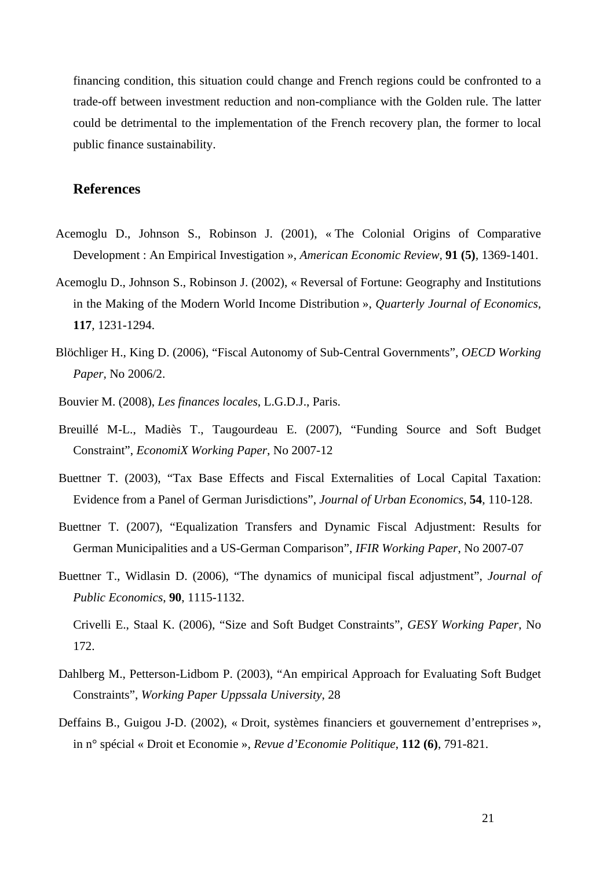financing condition, this situation could change and French regions could be confronted to a trade-off between investment reduction and non-compliance with the Golden rule. The latter could be detrimental to the implementation of the French recovery plan, the former to local public finance sustainability.

# **References**

- Acemoglu D., Johnson S., Robinson J. (2001), « The Colonial Origins of Comparative Development : An Empirical Investigation », *American Economic Review,* **91 (5)***,* 1369-1401.
- Acemoglu D., Johnson S., Robinson J. (2002), « Reversal of Fortune: Geography and Institutions in the Making of the Modern World Income Distribution », *Quarterly Journal of Economics,*  **117***,* 1231-1294.
- Blöchliger H., King D. (2006), "Fiscal Autonomy of Sub-Central Governments", *OECD Working Paper,* No 2006/2.
- Bouvier M. (2008), *Les finances locales*, L.G.D.J., Paris.
- Breuillé M-L., Madiès T., Taugourdeau E. (2007), "Funding Source and Soft Budget Constraint", *EconomiX Working Paper*, No 2007-12
- Buettner T. (2003), "Tax Base Effects and Fiscal Externalities of Local Capital Taxation: Evidence from a Panel of German Jurisdictions", *Journal of Urban Economics*, **54**, 110-128.
- Buettner T. (2007), "Equalization Transfers and Dynamic Fiscal Adjustment: Results for German Municipalities and a US-German Comparison", *IFIR Working Paper*, No 2007-07
- Buettner T., Widlasin D. (2006), "The dynamics of municipal fiscal adjustment", *Journal of Public Economics*, **90**, 1115-1132.

Crivelli E., Staal K. (2006), "Size and Soft Budget Constraints", *GESY Working Paper*, No 172.

- Dahlberg M., Petterson-Lidbom P. (2003), "An empirical Approach for Evaluating Soft Budget Constraints", *Working Paper Uppssala University*, 28
- Deffains B., Guigou J-D. (2002), « Droit, systèmes financiers et gouvernement d'entreprises », in n° spécial « Droit et Economie », *Revue d'Economie Politique*, **112 (6)**, 791-821.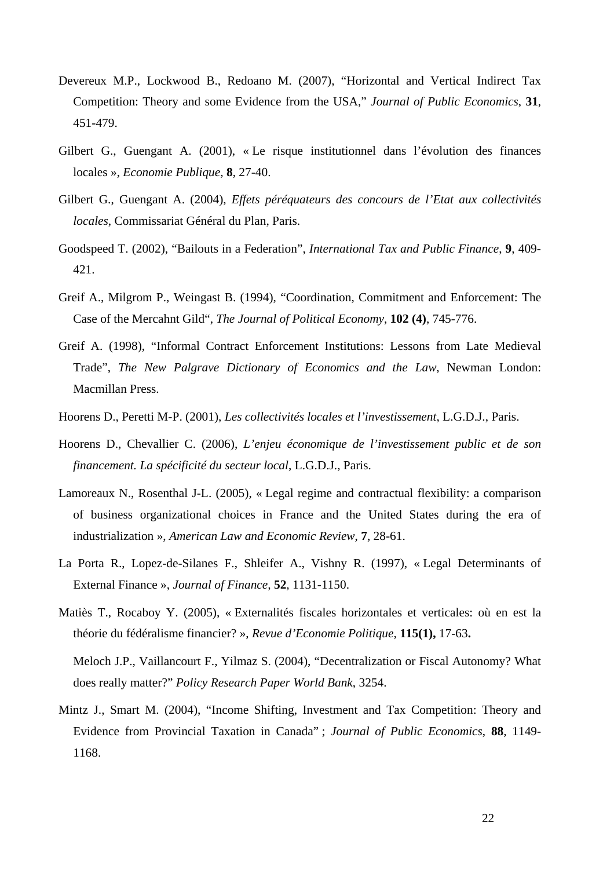- Devereux M.P., Lockwood B., Redoano M. (2007), "Horizontal and Vertical Indirect Tax Competition: Theory and some Evidence from the USA," *Journal of Public Economics*, **31**, 451-479.
- Gilbert G., Guengant A. (2001), « Le risque institutionnel dans l'évolution des finances locales », *Economie Publique*, **8**, 27-40.
- Gilbert G., Guengant A. (2004), *Effets péréquateurs des concours de l'Etat aux collectivités locales*, Commissariat Général du Plan, Paris.
- Goodspeed T. (2002), "Bailouts in a Federation", *International Tax and Public Finance*, **9**, 409- 421.
- Greif A., Milgrom P., Weingast B. (1994), "Coordination, Commitment and Enforcement: The Case of the Mercahnt Gild", *The Journal of Political Economy*, **102 (4)**, 745-776.
- Greif A. (1998), "Informal Contract Enforcement Institutions: Lessons from Late Medieval Trade", *The New Palgrave Dictionary of Economics and the Law*, Newman London: Macmillan Press.
- Hoorens D., Peretti M-P. (2001), *Les collectivités locales et l'investissement*, L.G.D.J., Paris.
- Hoorens D., Chevallier C. (2006), *L'enjeu économique de l'investissement public et de son financement. La spécificité du secteur local*, L.G.D.J., Paris.
- Lamoreaux N., Rosenthal J-L. (2005), « Legal regime and contractual flexibility: a comparison of business organizational choices in France and the United States during the era of industrialization », *American Law and Economic Review*, **7**, 28-61.
- La Porta R., Lopez-de-Silanes F., Shleifer A., Vishny R. (1997), « Legal Determinants of External Finance », *Journal of Finance,* **52***,* 1131-1150.
- Matiès T., Rocaboy Y. (2005), « Externalités fiscales horizontales et verticales: où en est la théorie du fédéralisme financier? », *Revue d'Economie Politique*, **115(1),** 17-63**.**

Meloch J.P., Vaillancourt F., Yilmaz S. (2004), "Decentralization or Fiscal Autonomy? What does really matter?" *Policy Research Paper World Bank*, 3254.

Mintz J., Smart M. (2004), "Income Shifting, Investment and Tax Competition: Theory and Evidence from Provincial Taxation in Canada" ; *Journal of Public Economics*, **88**, 1149- 1168.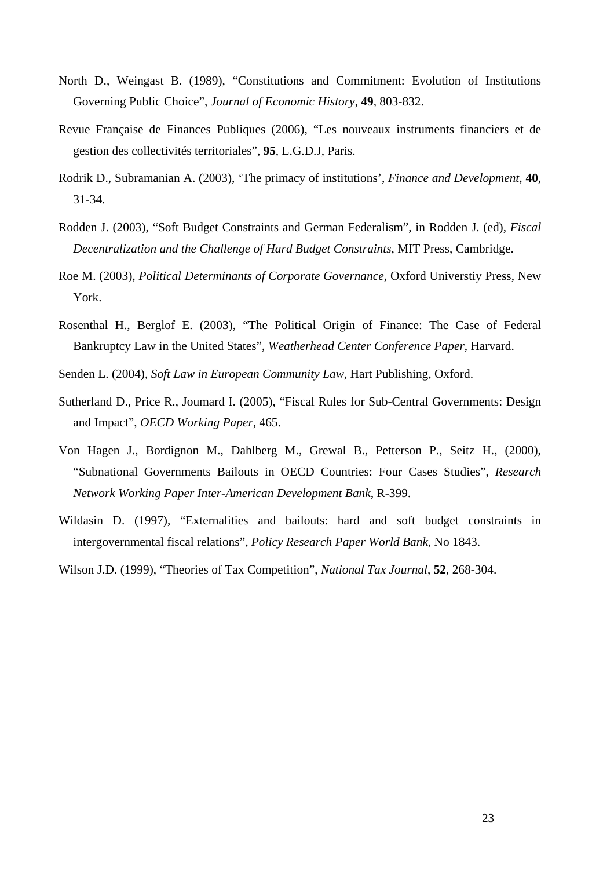- North D., Weingast B. (1989), "Constitutions and Commitment: Evolution of Institutions Governing Public Choice", *Journal of Economic History,* **49***,* 803-832.
- Revue Française de Finances Publiques (2006), "Les nouveaux instruments financiers et de gestion des collectivités territoriales", **95**, L.G.D.J, Paris.
- Rodrik D., Subramanian A. (2003), 'The primacy of institutions', *Finance and Development*, **40**, 31-34.
- Rodden J. (2003), "Soft Budget Constraints and German Federalism", in Rodden J. (ed), *Fiscal Decentralization and the Challenge of Hard Budget Constraints*, MIT Press, Cambridge.
- Roe M. (2003), *Political Determinants of Corporate Governance*, Oxford Universtiy Press, New York.
- Rosenthal H., Berglof E. (2003), "The Political Origin of Finance: The Case of Federal Bankruptcy Law in the United States", *Weatherhead Center Conference Paper*, Harvard.
- Senden L. (2004), *Soft Law in European Community Law*, Hart Publishing, Oxford.
- Sutherland D., Price R., Joumard I. (2005), "Fiscal Rules for Sub-Central Governments: Design and Impact", *OECD Working Paper*, 465.
- Von Hagen J., Bordignon M., Dahlberg M., Grewal B., Petterson P., Seitz H., (2000), "Subnational Governments Bailouts in OECD Countries: Four Cases Studies", *Research Network Working Paper Inter-American Development Bank*, R-399.
- Wildasin D. (1997), "Externalities and bailouts: hard and soft budget constraints in intergovernmental fiscal relations", *Policy Research Paper World Bank*, No 1843.
- Wilson J.D. (1999), "Theories of Tax Competition", *National Tax Journal*, **52**, 268-304.